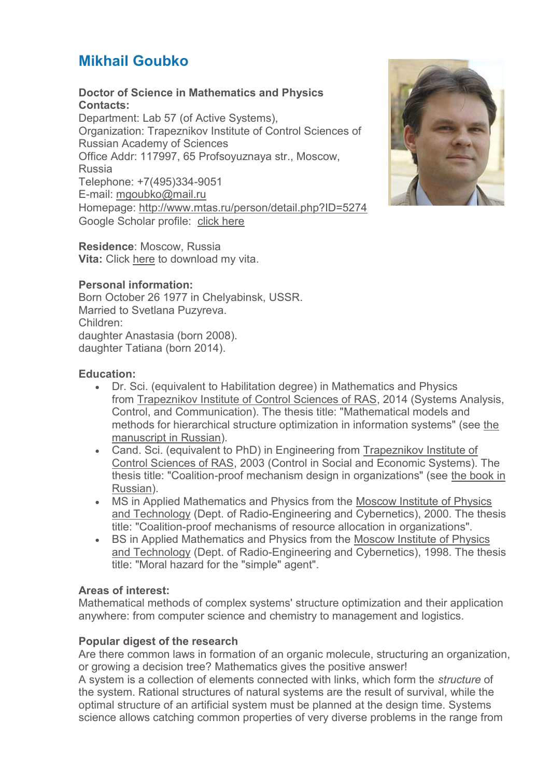# **Mikhail Goubko**

## **Doctor of Science in Mathematics and Physics Contacts:**

Department: Lab 57 (of Active Systems), Organization: Trapeznikov Institute of Control Sciences of Russian Academy of Sciences Office Addr: 117997, 65 Profsoyuznaya str., Moscow, Russia Telephone: +7(495)334-9051 E-mail: [mgoubko@mail.ru](mailto:mgoubko@mail.ru) Homepage: <http://www.mtas.ru/person/detail.php?ID=5274> Google Scholar profile: [click here](http://scholar.google.ru/citations?user=J6GooJMAAAAJ)



**Residence**: Moscow, Russia **Vita:** Click [here](http://mtas.ru/upload/GoubkoCV.pdf) to download my vita.

# **Personal information:**

Born October 26 1977 in Chelyabinsk, USSR. Married to Svetlana Puzyreva. Children: daughter Anastasia (born 2008). daughter Tatiana (born 2014).

#### **Education:**

- Dr. Sci. (equivalent to Habilitation degree) in Mathematics and Physics from [Trapeznikov Institute of Control Sciences of RAS,](http://www.ipu.ru/) 2014 (Systems Analysis, Control, and Communication). The thesis title: "Mathematical models and methods for hierarchical structure optimization in information systems" (see [the](http://mtas.ru/search/search_results.php?publication_id=19269)  [manuscript in Russian\)](http://mtas.ru/search/search_results.php?publication_id=19269).
- Cand. Sci. (equivalent to PhD) in Engineering from [Trapeznikov Institute of](http://www.ipu.ru/)  [Control Sciences of RAS,](http://www.ipu.ru/) 2003 (Control in Social and Economic Systems). The thesis title: "Coalition-proof mechanism design in organizations" (see [the book in](http://mtas.ru/search/search_results.php?publication_id=1647)  [Russian\)](http://mtas.ru/search/search_results.php?publication_id=1647).
- MS in Applied Mathematics and Physics from the [Moscow Institute of Physics](http://www.mipt.ru/)  [and Technology](http://www.mipt.ru/) (Dept. of Radio-Engineering and Cybernetics), 2000. The thesis title: "Coalition-proof mechanisms of resource allocation in organizations".
- BS in Applied Mathematics and Physics from the Moscow Institute of Physics [and Technology](http://www.mipt.ru/) (Dept. of Radio-Engineering and Cybernetics), 1998. The thesis title: "Moral hazard for the "simple" agent".

#### **Areas of interest:**

Mathematical methods of complex systems' structure optimization and their application anywhere: from computer science and chemistry to management and logistics.

#### **Popular digest of the research**

Are there common laws in formation of an organic molecule, structuring an organization, or growing a decision tree? Mathematics gives the positive answer!

A system is a collection of elements connected with links, which form the *structure* of the system. Rational structures of natural systems are the result of survival, while the optimal structure of an artificial system must be planned at the design time. Systems science allows catching common properties of very diverse problems in the range from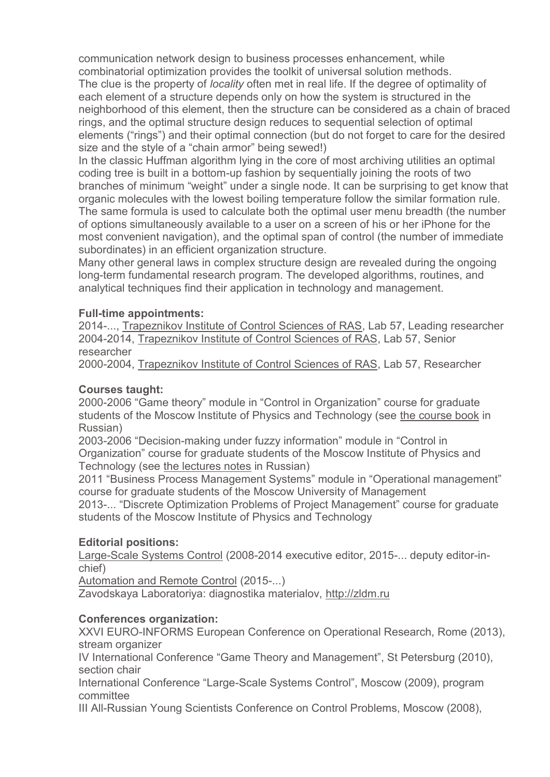communication network design to business processes enhancement, while combinatorial optimization provides the toolkit of universal solution methods.

The clue is the property of *locality* often met in real life. If the degree of optimality of each element of a structure depends only on how the system is structured in the neighborhood of this element, then the structure can be considered as a chain of braced rings, and the optimal structure design reduces to sequential selection of optimal elements ("rings") and their optimal connection (but do not forget to care for the desired size and the style of a "chain armor" being sewed!)

In the classic Huffman algorithm lying in the core of most archiving utilities an optimal coding tree is built in a bottom-up fashion by sequentially joining the roots of two branches of minimum "weight" under a single node. It can be surprising to get know that organic molecules with the lowest boiling temperature follow the similar formation rule. The same formula is used to calculate both the optimal user menu breadth (the number of options simultaneously available to a user on a screen of his or her iPhone for the most convenient navigation), and the optimal span of control (the number of immediate subordinates) in an efficient organization structure.

Many other general laws in complex structure design are revealed during the ongoing long-term fundamental research program. The developed algorithms, routines, and analytical techniques find their application in technology and management.

#### **Full-time appointments:**

2014-..., [Trapeznikov Institute of Control Sciences of RAS,](http://www.ipu.ru/) Lab 57, Leading researcher 2004-2014, [Trapeznikov Institute of Control Sciences of RAS,](http://www.ipu.ru/) Lab 57, Senior researcher

2000-2004, [Trapeznikov Institute of Control Sciences of RAS,](http://www.ipu.ru/) Lab 57, Researcher

## **Courses taught:**

2000-2006 "Game theory" module in "Control in Organization" course for graduate students of the Moscow Institute of Physics and Technology (see [the course book](http://www.mtas.ru/search_results.php?publication_id=1653) in Russian)

2003-2006 "Decision-making under fuzzy information" module in "Control in Organization" course for graduate students of the Moscow Institute of Physics and Technology (see [the lectures notes](http://www.mtas.ru/search_results.php?publication_id=2703) in Russian)

2011 "Business Process Management Systems" module in "Operational management" course for graduate students of the Moscow University of Management

2013-... "Discrete Optimization Problems of Project Management" course for graduate students of the Moscow Institute of Physics and Technology

#### **Editorial positions:**

[Large-Scale Systems Control](http://ubs.mtas.ru/) (2008-2014 executive editor, 2015-... deputy editor-inchief)

[Automation and Remote Control](http://www.springer.com/mathematics/journal/10513) (2015-...)

Zavodskaya Laboratoriya: diagnostika materialov, [http://zldm.ru](http://zldm.ru/)

#### **Conferences organization:**

XXVI EURO-INFORMS European Conference on Operational Research, Rome (2013), stream organizer

IV International Conference "Game Theory and Management", St Petersburg (2010), section chair

International Conference "Large-Scale Systems Control", Moscow (2009), program committee

III All-Russian Young Scientists Conference on Control Problems, Moscow (2008),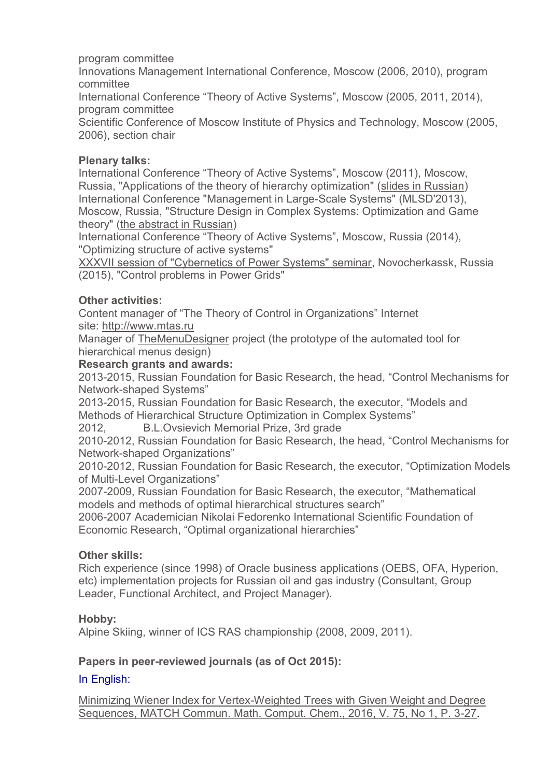program committee

Innovations Management International Conference, Moscow (2006, 2010), program committee

International Conference "Theory of Active Systems", Moscow (2005, 2011, 2014), program committee

Scientific Conference of Moscow Institute of Physics and Technology, Moscow (2005, 2006), section chair

#### **Plenary talks:**

International Conference "Theory of Active Systems", Moscow (2011), Moscow, Russia, "Applications of the theory of hierarchy optimization" [\(slides in Russian\)](http://mtas.ru/upload/library/2011PlenaryTalkGoubko2.pdf) International Conference "Management in Large-Scale Systems" (MLSD'2013), Moscow, Russia, "Structure Design in Complex Systems: Optimization and Game theory" [\(the abstract in Russian\)](http://mtas.ru/search/search_results.php?publication_id=19134)

International Conference "Theory of Active Systems", Moscow, Russia (2014), "Optimizing structure of active systems"

[XXXVII session of "Cybernetics of Power Systems" seminar,](http://www.npi-tu.ru/index.php?id=4925) Novocherkassk, Russia (2015), "Control problems in Power Grids"

#### **Other activities:**

Content manager of "The Theory of Control in Organizations" Internet site: [http://www.mtas.ru](http://www.mtas.ru/)

Manager of [TheMenuDesigner](http://mtas.ru/person/goubko/themenudesigner) project (the prototype of the automated tool for hierarchical menus design)

#### **Research grants and awards:**

2013-2015, Russian Foundation for Basic Research, the head, "Control Mechanisms for Network-shaped Systems"

2013-2015, Russian Foundation for Basic Research, the executor, "Models and Methods of Hierarchical Structure Optimization in Complex Systems"

2012, B.L.Ovsievich Memorial Prize, 3rd grade

2010-2012, Russian Foundation for Basic Research, the head, "Control Mechanisms for Network-shaped Organizations"

2010-2012, Russian Foundation for Basic Research, the executor, "Optimization Models of Multi-Level Organizations"

2007-2009, Russian Foundation for Basic Research, the executor, "Mathematical models and methods of optimal hierarchical structures search"

2006-2007 Academician Nikolai Fedorenko International Scientific Foundation of Economic Research, "Optimal organizational hierarchies"

#### **Other skills:**

Rich experience (since 1998) of Oracle business applications (OEBS, OFA, Hyperion, etc) implementation projects for Russian oil and gas industry (Consultant, Group Leader, Functional Architect, and Project Manager).

#### **Hobby:**

Alpine Skiing, winner of ICS RAS championship (2008, 2009, 2011).

#### **Papers in peer-reviewed journals (as of Oct 2015):**

#### In English:

[Minimizing Wiener Index for Vertex-Weighted Trees with Given Weight and Degree](http://www.mtas.ru/search/search_results.php?publication_id=20122)  [Sequences, MATCH Commun. Math. Comput. Chem., 2016, V. 75, No 1, P. 3-27.](http://www.mtas.ru/search/search_results.php?publication_id=20122)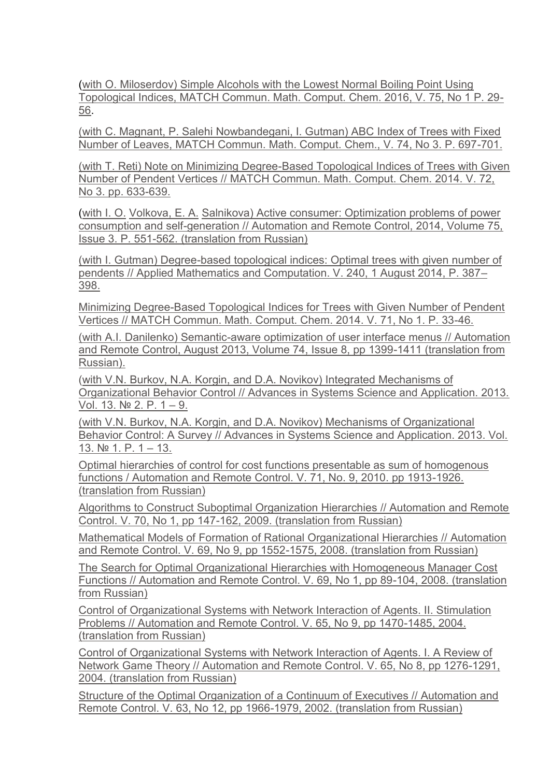[\(with O. Miloserdov\) Simple Alcohols with the Lowest Normal Boiling Point Using](http://www.mtas.ru/search/search_results.php?publication_id=20123)  [Topological Indices, MATCH Commun. Math. Comput. Chem. 2016, V. 75, No 1 P. 29-](http://www.mtas.ru/search/search_results.php?publication_id=20123) [56.](http://www.mtas.ru/search/search_results.php?publication_id=20123)

[\(with C. Magnant, P. Salehi Nowbandegani, I. Gutman\) ABC Index of Trees with Fixed](http://www.mtas.ru/search/search_results.php?publication_id=20114)  [Number of Leaves, MATCH Commun. Math. Comput. Chem., V. 74, No 3. P. 697-701.](http://www.mtas.ru/search/search_results.php?publication_id=20114)

[\(with T. Reti\) Note on Minimizing Degree-Based Topological Indices of Trees with Given](http://www.mtas.ru/search/search_results.php?publication_id=19415)  [Number of Pendent Vertices // MATCH Commun. Math. Comput. Chem. 2014. V. 72,](http://www.mtas.ru/search/search_results.php?publication_id=19415)  [No 3. pp. 633-639.](http://www.mtas.ru/search/search_results.php?publication_id=19415)

[\(with](http://www.mtas.ru/search/search_results.php?publication_id=19247) [I. O.](http://www.mtas.ru/search/search_results.php?publication_id=19247) [Volkova,](http://www.mtas.ru/search/search_results.php?publication_id=19247) [E. A.](http://www.mtas.ru/search/search_results.php?publication_id=19247) [Salnikova\) Active consumer: Optimization problems of power](http://www.mtas.ru/search/search_results.php?publication_id=19247)  [consumption and self-generation // Automation and Remote Control, 2014, Volume 75,](http://www.mtas.ru/search/search_results.php?publication_id=19247)  [Issue 3. P. 551-562. \(translation from Russian\)](http://www.mtas.ru/search/search_results.php?publication_id=19247)

[\(with I. Gutman\) Degree-based topological indices: Optimal trees with given number of](http://www.mtas.ru/search/search_results.php?publication_id=19296)  [pendents // Applied Mathematics and Computation. V. 240, 1 August 2014, P. 387](http://www.mtas.ru/search/search_results.php?publication_id=19296)– [398.](http://www.mtas.ru/search/search_results.php?publication_id=19296)

[Minimizing Degree-Based Topological Indices for Trees with Given Number of Pendent](http://www.mtas.ru/search_results.php?publication_id=19138)  [Vertices // MATCH Commun. Math. Comput. Chem. 2014. V. 71, No 1. P. 33-46.](http://www.mtas.ru/search_results.php?publication_id=19138)

[\(with A.I. Danilenko\) Semantic-aware optimization of user interface menus // Automation](http://www.mtas.ru/search_results.php?publication_id=19096)  [and Remote Control, August 2013, Volume 74, Issue 8, pp 1399-1411 \(translation from](http://www.mtas.ru/search_results.php?publication_id=19096)  [Russian\).](http://www.mtas.ru/search_results.php?publication_id=19096)

[\(with V.N. Burkov, N.A. Korgin, and D.A. Novikov\) Integrated Mechanisms of](http://www.mtas.ru/search_results.php?publication_id=19037)  [Organizational Behavior Control // Advances in Systems Science and Application. 2013.](http://www.mtas.ru/search_results.php?publication_id=19037)  [Vol. 13. № 2. P. 1](http://www.mtas.ru/search_results.php?publication_id=19037) – 9.

[\(with V.N. Burkov, N.A. Korgin, and D.A. Novikov\) Mechanisms of Organizational](http://www.mtas.ru/search_results.php?publication_id=19036)  [Behavior Control: A Survey // Advances in Systems Science and Application. 2013. Vol.](http://www.mtas.ru/search_results.php?publication_id=19036)  [13. № 1.](http://www.mtas.ru/search_results.php?publication_id=19036) P. 1 – 13.

[Optimal hierarchies of control for cost functions presentable as sum of homogenous](http://www.mtas.ru/search/search_results.php?publication_id=18027)  [functions / Automation and Remote Control. V. 71, No. 9, 2010. pp 1913-1926.](http://www.mtas.ru/search/search_results.php?publication_id=18027)  [\(translation from Russian\)](http://www.mtas.ru/search/search_results.php?publication_id=18027)

[Algorithms to Construct Suboptimal Organization Hierarchies // Automation and Remote](http://www.mtas.ru/search_results.php?publication_id=17993)  [Control. V. 70, No 1, pp 147-162, 2009. \(translation from Russian\)](http://www.mtas.ru/search_results.php?publication_id=17993)

[Mathematical Models of Formation of Rational Organizational Hierarchies // Automation](http://www.mtas.ru/search_results.php?publication_id=17990)  [and Remote Control. V. 69, No 9, pp 1552-1575, 2008. \(translation from Russian\)](http://www.mtas.ru/search_results.php?publication_id=17990)

[The Search for Optimal Organizational Hierarchies with Homogeneous Manager Cost](http://www.mtas.ru/search_results.php?publication_id=17988)  [Functions // Automation and Remote Control. V. 69, No 1, pp 89-104, 2008. \(translation](http://www.mtas.ru/search_results.php?publication_id=17988)  [from Russian\)](http://www.mtas.ru/search_results.php?publication_id=17988)

[Control of Organizational Systems with Network Interaction of Agents. II. Stimulation](http://www.mtas.ru/search_results.php?publication_id=17992)  [Problems // Automation and Remote Control. V. 65, No 9, pp 1470-1485, 2004.](http://www.mtas.ru/search_results.php?publication_id=17992)  [\(translation from Russian\)](http://www.mtas.ru/search_results.php?publication_id=17992)

[Control of Organizational Systems with Network Interaction of Agents. I. A Review of](http://www.mtas.ru/search_results.php?publication_id=17991)  [Network Game Theory // Automation and Remote Control. V. 65, No 8, pp 1276-1291,](http://www.mtas.ru/search_results.php?publication_id=17991)  [2004. \(translation from Russian\)](http://www.mtas.ru/search_results.php?publication_id=17991)

[Structure of the Optimal Organization of a Continuum of Executives // Automation and](http://www.mtas.ru/search_results.php?publication_id=17987)  [Remote Control. V. 63, No 12, pp 1966-1979, 2002. \(translation from Russian\)](http://www.mtas.ru/search_results.php?publication_id=17987)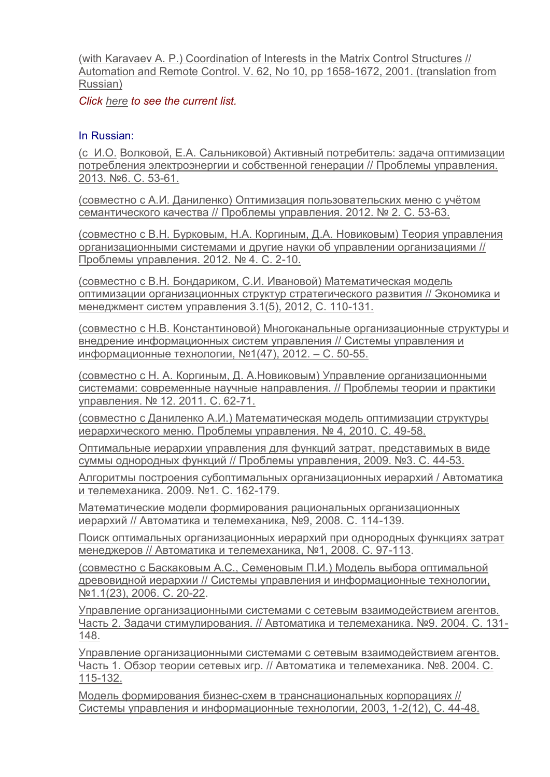[\(with Karavaev A. P.\) Coordination of Interests in the Matrix Control Structures //](http://www.mtas.ru/search_results.php?publication_id=17989)  [Automation and Remote Control. V. 62, No 10, pp 1658-1672, 2001. \(translation from](http://www.mtas.ru/search_results.php?publication_id=17989)  [Russian\)](http://www.mtas.ru/search_results.php?publication_id=17989)

*Click [here](http://www.mtas.ru/search_form.php?arrFilter_ff%5BNAME%5D=&arrFilter_ff%5BTAGS%5D=&arrFilter_pf%5Bautor_text1%5D=goubko&arrFilter_pf%5Btype%5D=38&arrFilter_pf%5Bstatus%5D=36&arrFilter_pf%5Bshort%5D=Y&set_filter=%CD%E0%E9%F2%E8&set_filter=Y) to see the current list.*

#### In Russian:

[\(с](http://www.mtas.ru/search/search_results.php?publication_id=19173) [И.О.](http://www.mtas.ru/search/search_results.php?publication_id=19173) [Волковой, Е.А. Сальниковой\) Активный потребитель: задача оптимизации](http://www.mtas.ru/search/search_results.php?publication_id=19173)  [потребления электроэнергии и собственной генерации // Проблемы управления.](http://www.mtas.ru/search/search_results.php?publication_id=19173)  [2013. №6. С. 53](http://www.mtas.ru/search/search_results.php?publication_id=19173)-61.

[\(совместно с А.И. Даниленко\) Оптимизация пользовательских меню с учётом](http://www.mtas.ru/search/search_results.php?publication_id=18742)  [семантического качества // Проблемы управления. 2012. № 2. С. 53](http://www.mtas.ru/search/search_results.php?publication_id=18742)-63.

[\(совместно с В.Н. Бурковым, Н.А. Коргиным, Д.А. Новиковым\) Теория управления](http://www.mtas.ru/search/search_results.php?publication_id=18845)  [организационными системами и другие науки об управлении организациями //](http://www.mtas.ru/search/search_results.php?publication_id=18845)  [Проблемы управления. 2012. № 4. С. 2](http://www.mtas.ru/search/search_results.php?publication_id=18845)-10.

[\(совместно с В.Н. Бондариком, С.И. Ивановой\) Математическая модель](http://www.mtas.ru/search/search_results.php?publication_id=18865)  [оптимизации организационных структур стратегического развития // Экономика и](http://www.mtas.ru/search/search_results.php?publication_id=18865)  [менеджмент систем управления 3.1\(5\), 2012, С. 110](http://www.mtas.ru/search/search_results.php?publication_id=18865)-131.

[\(совместно с Н.В. Константиновой\) Многоканальные организационные структуры и](http://www.mtas.ru/search/search_results.php?publication_id=18734)  [внедрение информационных систем управления // Системы управления и](http://www.mtas.ru/search/search_results.php?publication_id=18734)  [информационные технологии, №1\(](http://www.mtas.ru/search/search_results.php?publication_id=18734)47), 2012. – С. 50-55.

[\(совместно с](http://www.mtas.ru/search/search_results.php?publication_id=18728) [Н. А.](http://www.mtas.ru/search/search_results.php?publication_id=18728) [Коргиным,](http://www.mtas.ru/search/search_results.php?publication_id=18728) [Д. А.Новиковым\) Управление организационными](http://www.mtas.ru/search/search_results.php?publication_id=18728)  [системами: современные научные направления. // Проблемы теории и практики](http://www.mtas.ru/search/search_results.php?publication_id=18728)  [управления. № 12. 2011. С. 62](http://www.mtas.ru/search/search_results.php?publication_id=18728)-71.

[\(совместно с Даниленко А.И.\) Математическая модель оптимизации структуры](http://www.mtas.ru/search/search_results.php?publication_id=17996)  [иерархического меню. Проблемы управления. № 4, 2010. С. 49](http://www.mtas.ru/search/search_results.php?publication_id=17996)-58.

[Оптимальные иерархии управления для функций затрат, представимых в виде](http://www.mtas.ru/search_results.php?publication_id=17795)  [суммы однородных функций // Проблемы управления, 2009. №3. С. 44](http://www.mtas.ru/search_results.php?publication_id=17795)-53.

[Алгоритмы построения субоптимальных организационных иерархий / Автоматика](http://www.mtas.ru/search_results.php?publication_id=5318)  [и телемеханика. 2009. №1. C. 162](http://www.mtas.ru/search_results.php?publication_id=5318)-179.

Математические модели формирования рациональных организационных [иерархий // Автоматика и телемеханика, №9, 2008. С. 114](http://www.mtas.ru/search_results.php?publication_id=3239)-139.

[Поиск оптимальных организационных иерархий при однородных функциях затрат](http://www.mtas.ru/search_results.php?publication_id=3200)  [менеджеров // Автоматика и телемеханика, №1, 2008. С. 97](http://www.mtas.ru/search_results.php?publication_id=3200)-113.

[\(совместно с Баскаковым А.С., Семеновым П.И.\) Модель выбора оптимальной](http://www.mtas.ru/search_results.php?publication_id=2979)  [древовидной иерархии // Системы управления и информационные технологии,](http://www.mtas.ru/search_results.php?publication_id=2979)  [№1.1\(23\), 2006. С. 20](http://www.mtas.ru/search_results.php?publication_id=2979)-22.

[Управление организационными системами с сетевым взаимодействием агентов.](http://www.mtas.ru/search_results.php?publication_id=2616)  [Часть 2. Задачи стимулирования. // Автоматика и телемеханика. №9. 2004. С. 131](http://www.mtas.ru/search_results.php?publication_id=2616)- [148.](http://www.mtas.ru/search_results.php?publication_id=2616)

[Управление организационными системами с сетевым взаимодействием агентов.](http://www.mtas.ru/search_results.php?publication_id=2614)  [Часть 1. Обзор теории сетевых игр. // Автоматика и телемеханика. №8. 2004. С.](http://www.mtas.ru/search_results.php?publication_id=2614)  [115-132.](http://www.mtas.ru/search_results.php?publication_id=2614)

Модель формирования бизнес-[схем в транснациональных корпорациях //](http://www.mtas.ru/search_results.php?publication_id=2529)  [Системы управления и информационные](http://www.mtas.ru/search_results.php?publication_id=2529) технологии, 2003, 1-2(12), C. 44-48.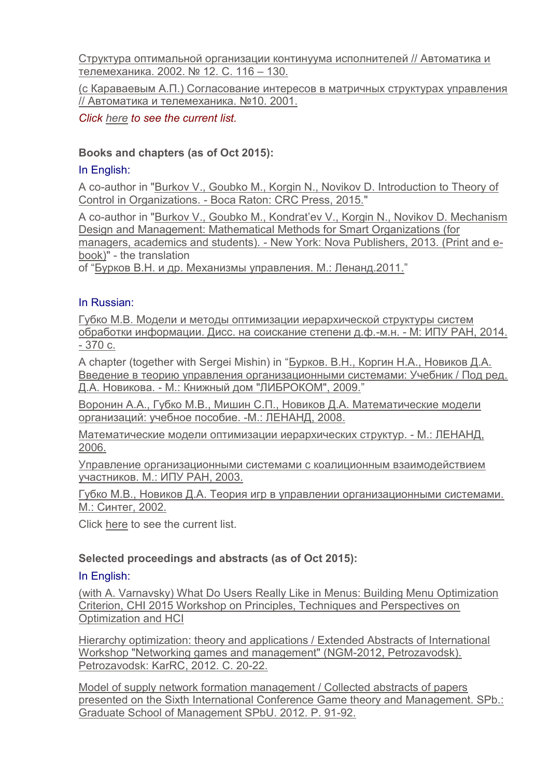[Структура оптимальной организации континуума исполнителей // Автоматика и](http://www.mtas.ru/search_results.php?publication_id=1648)  [телемеханика. 2002. № 12. С. 116 –](http://www.mtas.ru/search_results.php?publication_id=1648) 130.

[\(с Караваевым А.П.\) Согласование интересов в матричных структурах управления](http://www.mtas.ru/search_results.php?publication_id=2482)  [// Автоматика и телемеханика. №10. 2001.](http://www.mtas.ru/search_results.php?publication_id=2482)

*Click [here](http://www.mtas.ru/search_form.php?arrFilter_ff%5BNAME%5D=&arrFilter_ff%5BTAGS%5D=&arrFilter_pf%5Bautor_text1%5D=%E3%F3%E1%EA%EE%20%EC&arrFilter_pf%5Btype%5D=38&arrFilter_pf%5Bstatus%5D=36&arrFilter_pf%5Bshort%5D=Y&set_filter=%CD%E0%E9%F2%E8&set_filter=Y) to see the current list.*

# **Books and chapters (as of Oct 2015):**

## In English:

A co-author in ["Burkov V., Goubko M., Korgin N., Novikov D. Introduction to Theory of](http://www.crcpress.com/product/isbn/9781498714235)  Control in Organizations. - [Boca Raton: CRC Press, 2015."](http://www.crcpress.com/product/isbn/9781498714235)

A co-author in "[Burkov V., Goubko M., Kondrat'ev V., Korgin N., Novikov D. Mechanism](http://mtas.ru/search/search_results.php?publication_id=19038)  [Design and Management: Mathematical Methods for Smart Organizations \(for](http://mtas.ru/search/search_results.php?publication_id=19038)  managers, academics and students). - [New York: Nova Publishers, 2013. \(Print and e](http://mtas.ru/search/search_results.php?publication_id=19038)[book\)"](http://mtas.ru/search/search_results.php?publication_id=19038) - the translation

of "Бурков В.Н. и др. Механизмы [управления](http://www.ozon.ru/context/detail/id/5684546/). М.: Ленанд.2011."

#### In Russian:

[Губко М.В. Модели и методы оптимизации иерархической структуры систем](http://www.mtas.ru/search/search_results.php?publication_id=19269)  [обработки информации. Дисс. на соискание степени д.ф.](http://www.mtas.ru/search/search_results.php?publication_id=19269)-м.н. - М: ИПУ РАН, 2014. - [370 с.](http://www.mtas.ru/search/search_results.php?publication_id=19269)

A chapter (together with Sergei Mishin) in ["Бурков. В.Н., Коргин Н.А., Новиков Д.А.](http://www.mtas.ru/search_results.php?publication_id=17417)  [Введение в теорию управления организационными системами: Учебник / Под ред.](http://www.mtas.ru/search_results.php?publication_id=17417)  Д.А. Новикова. - [М.: Книжный дом "ЛИБРОКОМ", 2009."](http://www.mtas.ru/search_results.php?publication_id=17417)

[Воронин А.А., Губко М.В., Мишин С.П., Новиков Д.А. Математические модели](http://www.mtas.ru/search_results.php?publication_id=3213)  [организаций: учебное пособие.](http://www.mtas.ru/search_results.php?publication_id=3213) -М.: ЛЕНАНД, 2008.

[Математические модели оптимизации иерархических структур.](http://www.mtas.ru/search_results.php?publication_id=3087) - М.: ЛЕНАНД, [2006.](http://www.mtas.ru/search_results.php?publication_id=3087)

[Управление организационными системами с коалиционным взаимодействием](http://www.mtas.ru/search_results.php?publication_id=1647)  [участников. М.: ИПУ РАН, 2003.](http://www.mtas.ru/search_results.php?publication_id=1647)

[Губко М.В., Новиков Д.А. Теория игр в управлении организационными системами.](http://www.mtas.ru/search_results.php?publication_id=1653)  [М.: Синтег, 2002.](http://www.mtas.ru/search_results.php?publication_id=1653)

Click [here](http://www.mtas.ru/search_form.php?arrFilter_ff%5BNAME%5D=&arrFilter_ff%5BTAGS%5D=&arrFilter_pf%5Bautor_text1%5D=%E3%F3%E1%EA%EE%20%EC&arrFilter_pf%5Btype%5D=35&arrFilter_pf%5Bstatus%5D=36&arrFilter_pf%5Bshort%5D=Y&set_filter=%CD%E0%E9%F2%E8&set_filter=Y) to see the current list.

#### **Selected proceedings and abstracts (as of Oct 2015):**

#### In English:

[\(with A. Varnavsky\) What Do Users Really Like in Menus: Building Menu Optimization](http://www.mtas.ru/search/search_results.php?publication_id=19914)  [Criterion, CHI 2015 Workshop on Principles, Techniques and Perspectives on](http://www.mtas.ru/search/search_results.php?publication_id=19914)  [Optimization and HCI](http://www.mtas.ru/search/search_results.php?publication_id=19914)

[Hierarchy optimization: theory and applications / Extended Abstracts of International](http://www.mtas.ru/search/search_results.php?publication_id=18843)  [Workshop "Networking games and management" \(NGM-2012, Petrozavodsk\).](http://www.mtas.ru/search/search_results.php?publication_id=18843)  [Petrozavodsk: KarRC](http://www.mtas.ru/search/search_results.php?publication_id=18843), 2012. С. 20-22.

[Model of supply network formation management / Collected abstracts of papers](http://www.mtas.ru/search/search_results.php?publication_id=18844)  [presented on the Sixth International Conference Game theory and Management. SPb.:](http://www.mtas.ru/search/search_results.php?publication_id=18844)  [Graduate School of Management SPbU. 2012. P. 91-92.](http://www.mtas.ru/search/search_results.php?publication_id=18844)